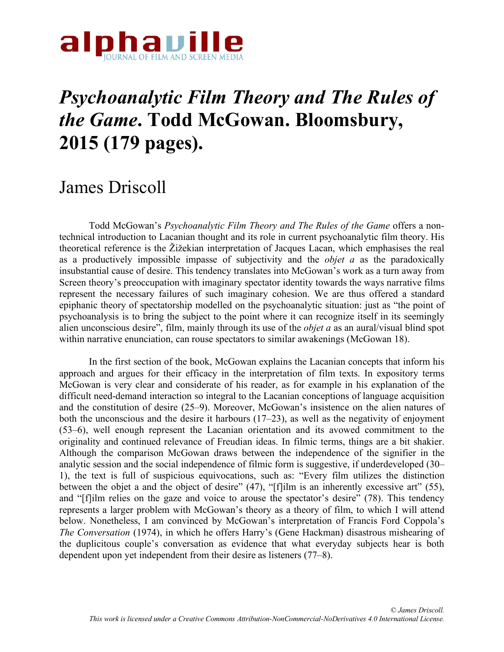

## *Psychoanalytic Film Theory and The Rules of the Game***. Todd McGowan. Bloomsbury, 2015 (179 pages).**

## James Driscoll

Todd McGowan's *Psychoanalytic Film Theory and The Rules of the Game* offers a nontechnical introduction to Lacanian thought and its role in current psychoanalytic film theory. His theoretical reference is the Žižekian interpretation of Jacques Lacan, which emphasises the real as a productively impossible impasse of subjectivity and the *objet a* as the paradoxically insubstantial cause of desire. This tendency translates into McGowan's work as a turn away from Screen theory's preoccupation with imaginary spectator identity towards the ways narrative films represent the necessary failures of such imaginary cohesion. We are thus offered a standard epiphanic theory of spectatorship modelled on the psychoanalytic situation: just as "the point of psychoanalysis is to bring the subject to the point where it can recognize itself in its seemingly alien unconscious desire", film, mainly through its use of the *objet a* as an aural/visual blind spot within narrative enunciation, can rouse spectators to similar awakenings (McGowan 18).

In the first section of the book, McGowan explains the Lacanian concepts that inform his approach and argues for their efficacy in the interpretation of film texts. In expository terms McGowan is very clear and considerate of his reader, as for example in his explanation of the difficult need-demand interaction so integral to the Lacanian conceptions of language acquisition and the constitution of desire (25–9). Moreover, McGowan's insistence on the alien natures of both the unconscious and the desire it harbours  $(17–23)$ , as well as the negativity of enjoyment (53–6), well enough represent the Lacanian orientation and its avowed commitment to the originality and continued relevance of Freudian ideas. In filmic terms, things are a bit shakier. Although the comparison McGowan draws between the independence of the signifier in the analytic session and the social independence of filmic form is suggestive, if underdeveloped (30– 1), the text is full of suspicious equivocations, such as: "Every film utilizes the distinction between the objet a and the object of desire" (47), "[f]ilm is an inherently excessive art" (55), and "[f]ilm relies on the gaze and voice to arouse the spectator's desire" (78). This tendency represents a larger problem with McGowan's theory as a theory of film, to which I will attend below. Nonetheless, I am convinced by McGowan's interpretation of Francis Ford Coppola's *The Conversation* (1974), in which he offers Harry's (Gene Hackman) disastrous mishearing of the duplicitous couple's conversation as evidence that what everyday subjects hear is both dependent upon yet independent from their desire as listeners (77–8).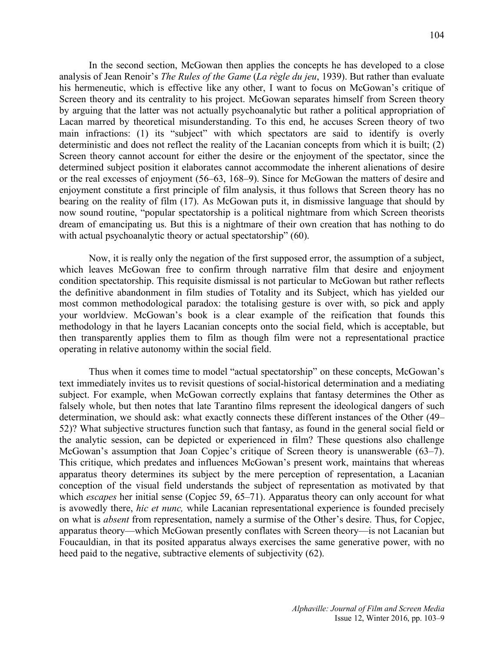In the second section, McGowan then applies the concepts he has developed to a close analysis of Jean Renoir's *The Rules of the Game* (*La règle du jeu*, 1939). But rather than evaluate his hermeneutic, which is effective like any other, I want to focus on McGowan's critique of Screen theory and its centrality to his project. McGowan separates himself from Screen theory by arguing that the latter was not actually psychoanalytic but rather a political appropriation of Lacan marred by theoretical misunderstanding. To this end, he accuses Screen theory of two main infractions: (1) its "subject" with which spectators are said to identify is overly deterministic and does not reflect the reality of the Lacanian concepts from which it is built; (2) Screen theory cannot account for either the desire or the enjoyment of the spectator, since the determined subject position it elaborates cannot accommodate the inherent alienations of desire or the real excesses of enjoyment (56–63, 168–9). Since for McGowan the matters of desire and enjoyment constitute a first principle of film analysis, it thus follows that Screen theory has no bearing on the reality of film (17). As McGowan puts it, in dismissive language that should by now sound routine, "popular spectatorship is a political nightmare from which Screen theorists dream of emancipating us. But this is a nightmare of their own creation that has nothing to do with actual psychoanalytic theory or actual spectatorship" (60).

Now, it is really only the negation of the first supposed error, the assumption of a subject, which leaves McGowan free to confirm through narrative film that desire and enjoyment condition spectatorship. This requisite dismissal is not particular to McGowan but rather reflects the definitive abandonment in film studies of Totality and its Subject, which has yielded our most common methodological paradox: the totalising gesture is over with, so pick and apply your worldview. McGowan's book is a clear example of the reification that founds this methodology in that he layers Lacanian concepts onto the social field, which is acceptable, but then transparently applies them to film as though film were not a representational practice operating in relative autonomy within the social field.

Thus when it comes time to model "actual spectatorship" on these concepts, McGowan's text immediately invites us to revisit questions of social-historical determination and a mediating subject. For example, when McGowan correctly explains that fantasy determines the Other as falsely whole, but then notes that late Tarantino films represent the ideological dangers of such determination, we should ask: what exactly connects these different instances of the Other (49– 52)? What subjective structures function such that fantasy, as found in the general social field or the analytic session, can be depicted or experienced in film? These questions also challenge McGowan's assumption that Joan Copjec's critique of Screen theory is unanswerable (63–7). This critique, which predates and influences McGowan's present work, maintains that whereas apparatus theory determines its subject by the mere perception of representation, a Lacanian conception of the visual field understands the subject of representation as motivated by that which *escapes* her initial sense (Copjec 59, 65–71). Apparatus theory can only account for what is avowedly there, *hic et nunc,* while Lacanian representational experience is founded precisely on what is *absent* from representation, namely a surmise of the Other's desire. Thus, for Copjec, apparatus theory—which McGowan presently conflates with Screen theory—is not Lacanian but Foucauldian, in that its posited apparatus always exercises the same generative power, with no heed paid to the negative, subtractive elements of subjectivity (62).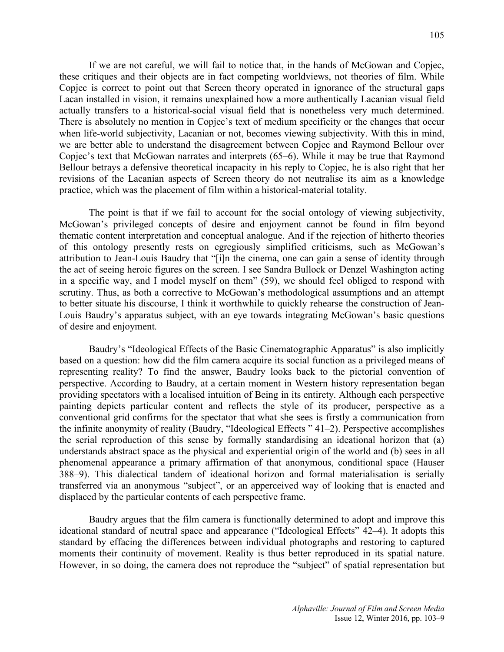If we are not careful, we will fail to notice that, in the hands of McGowan and Copjec, these critiques and their objects are in fact competing worldviews, not theories of film. While Copjec is correct to point out that Screen theory operated in ignorance of the structural gaps Lacan installed in vision, it remains unexplained how a more authentically Lacanian visual field actually transfers to a historical-social visual field that is nonetheless very much determined. There is absolutely no mention in Copjec's text of medium specificity or the changes that occur when life-world subjectivity, Lacanian or not, becomes viewing subjectivity. With this in mind, we are better able to understand the disagreement between Copjec and Raymond Bellour over Copjec's text that McGowan narrates and interprets (65–6). While it may be true that Raymond Bellour betrays a defensive theoretical incapacity in his reply to Copjec, he is also right that her revisions of the Lacanian aspects of Screen theory do not neutralise its aim as a knowledge practice, which was the placement of film within a historical-material totality.

The point is that if we fail to account for the social ontology of viewing subjectivity, McGowan's privileged concepts of desire and enjoyment cannot be found in film beyond thematic content interpretation and conceptual analogue. And if the rejection of hitherto theories of this ontology presently rests on egregiously simplified criticisms, such as McGowan's attribution to Jean-Louis Baudry that "[i]n the cinema, one can gain a sense of identity through the act of seeing heroic figures on the screen. I see Sandra Bullock or Denzel Washington acting in a specific way, and I model myself on them" (59), we should feel obliged to respond with scrutiny. Thus, as both a corrective to McGowan's methodological assumptions and an attempt to better situate his discourse, I think it worthwhile to quickly rehearse the construction of Jean-Louis Baudry's apparatus subject, with an eye towards integrating McGowan's basic questions of desire and enjoyment.

Baudry's "Ideological Effects of the Basic Cinematographic Apparatus" is also implicitly based on a question: how did the film camera acquire its social function as a privileged means of representing reality? To find the answer, Baudry looks back to the pictorial convention of perspective. According to Baudry, at a certain moment in Western history representation began providing spectators with a localised intuition of Being in its entirety. Although each perspective painting depicts particular content and reflects the style of its producer, perspective as a conventional grid confirms for the spectator that what she sees is firstly a communication from the infinite anonymity of reality (Baudry, "Ideological Effects " 41–2). Perspective accomplishes the serial reproduction of this sense by formally standardising an ideational horizon that (a) understands abstract space as the physical and experiential origin of the world and (b) sees in all phenomenal appearance a primary affirmation of that anonymous, conditional space (Hauser 388–9). This dialectical tandem of ideational horizon and formal materialisation is serially transferred via an anonymous "subject", or an apperceived way of looking that is enacted and displaced by the particular contents of each perspective frame.

Baudry argues that the film camera is functionally determined to adopt and improve this ideational standard of neutral space and appearance ("Ideological Effects" 42–4). It adopts this standard by effacing the differences between individual photographs and restoring to captured moments their continuity of movement. Reality is thus better reproduced in its spatial nature. However, in so doing, the camera does not reproduce the "subject" of spatial representation but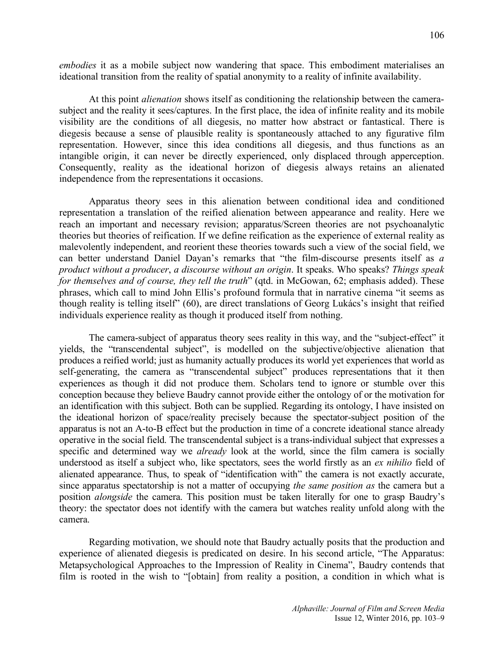*embodies* it as a mobile subject now wandering that space. This embodiment materialises an ideational transition from the reality of spatial anonymity to a reality of infinite availability.

At this point *alienation* shows itself as conditioning the relationship between the camerasubject and the reality it sees/captures. In the first place, the idea of infinite reality and its mobile visibility are the conditions of all diegesis, no matter how abstract or fantastical. There is diegesis because a sense of plausible reality is spontaneously attached to any figurative film representation. However, since this idea conditions all diegesis, and thus functions as an intangible origin, it can never be directly experienced, only displaced through apperception. Consequently, reality as the ideational horizon of diegesis always retains an alienated independence from the representations it occasions.

Apparatus theory sees in this alienation between conditional idea and conditioned representation a translation of the reified alienation between appearance and reality. Here we reach an important and necessary revision; apparatus/Screen theories are not psychoanalytic theories but theories of reification. If we define reification as the experience of external reality as malevolently independent, and reorient these theories towards such a view of the social field, we can better understand Daniel Dayan's remarks that "the film-discourse presents itself as *a product without a producer*, *a discourse without an origin*. It speaks. Who speaks? *Things speak for themselves and of course, they tell the truth*" (qtd. in McGowan, 62; emphasis added). These phrases, which call to mind John Ellis's profound formula that in narrative cinema "it seems as though reality is telling itself" (60), are direct translations of Georg Lukács's insight that reified individuals experience reality as though it produced itself from nothing.

The camera-subject of apparatus theory sees reality in this way, and the "subject-effect" it yields, the "transcendental subject", is modelled on the subjective/objective alienation that produces a reified world; just as humanity actually produces its world yet experiences that world as self-generating, the camera as "transcendental subject" produces representations that it then experiences as though it did not produce them. Scholars tend to ignore or stumble over this conception because they believe Baudry cannot provide either the ontology of or the motivation for an identification with this subject. Both can be supplied. Regarding its ontology, I have insisted on the ideational horizon of space/reality precisely because the spectator-subject position of the apparatus is not an A-to-B effect but the production in time of a concrete ideational stance already operative in the social field. The transcendental subject is a trans-individual subject that expresses a specific and determined way we *already* look at the world, since the film camera is socially understood as itself a subject who, like spectators, sees the world firstly as an *ex nihilio* field of alienated appearance. Thus, to speak of "identification with" the camera is not exactly accurate, since apparatus spectatorship is not a matter of occupying *the same position as* the camera but a position *alongside* the camera. This position must be taken literally for one to grasp Baudry's theory: the spectator does not identify with the camera but watches reality unfold along with the camera.

Regarding motivation, we should note that Baudry actually posits that the production and experience of alienated diegesis is predicated on desire. In his second article, "The Apparatus: Metapsychological Approaches to the Impression of Reality in Cinema", Baudry contends that film is rooted in the wish to "[obtain] from reality a position, a condition in which what is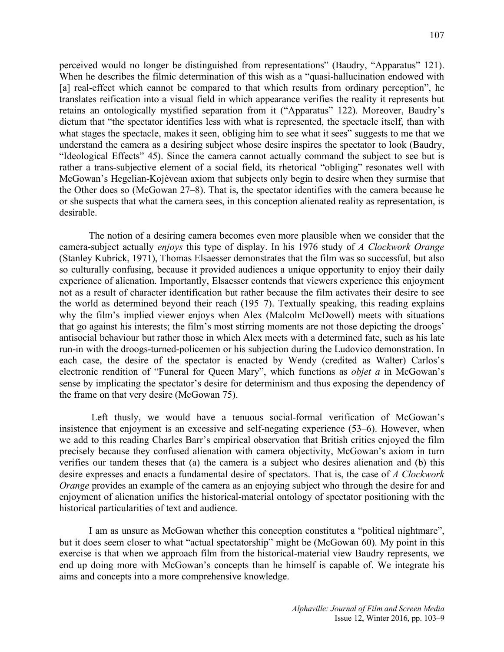perceived would no longer be distinguished from representations" (Baudry, "Apparatus" 121). When he describes the filmic determination of this wish as a "quasi-hallucination endowed with [a] real-effect which cannot be compared to that which results from ordinary perception", he translates reification into a visual field in which appearance verifies the reality it represents but retains an ontologically mystified separation from it ("Apparatus" 122). Moreover, Baudry's dictum that "the spectator identifies less with what is represented, the spectacle itself, than with what stages the spectacle, makes it seen, obliging him to see what it sees" suggests to me that we understand the camera as a desiring subject whose desire inspires the spectator to look (Baudry, "Ideological Effects" 45). Since the camera cannot actually command the subject to see but is rather a trans-subjective element of a social field, its rhetorical "obliging" resonates well with McGowan's Hegelian-Kojèvean axiom that subjects only begin to desire when they surmise that the Other does so (McGowan 27–8). That is, the spectator identifies with the camera because he or she suspects that what the camera sees, in this conception alienated reality as representation, is desirable.

The notion of a desiring camera becomes even more plausible when we consider that the camera-subject actually *enjoys* this type of display. In his 1976 study of *A Clockwork Orange*  (Stanley Kubrick, 1971), Thomas Elsaesser demonstrates that the film was so successful, but also so culturally confusing, because it provided audiences a unique opportunity to enjoy their daily experience of alienation. Importantly, Elsaesser contends that viewers experience this enjoyment not as a result of character identification but rather because the film activates their desire to see the world as determined beyond their reach (195–7). Textually speaking, this reading explains why the film's implied viewer enjoys when Alex (Malcolm McDowell) meets with situations that go against his interests; the film's most stirring moments are not those depicting the droogs' antisocial behaviour but rather those in which Alex meets with a determined fate, such as his late run-in with the droogs-turned-policemen or his subjection during the Ludovico demonstration. In each case, the desire of the spectator is enacted by Wendy (credited as Walter) Carlos's electronic rendition of "Funeral for Queen Mary", which functions as *objet a* in McGowan's sense by implicating the spectator's desire for determinism and thus exposing the dependency of the frame on that very desire (McGowan 75).

Left thusly, we would have a tenuous social-formal verification of McGowan's insistence that enjoyment is an excessive and self-negating experience (53–6). However, when we add to this reading Charles Barr's empirical observation that British critics enjoyed the film precisely because they confused alienation with camera objectivity, McGowan's axiom in turn verifies our tandem theses that (a) the camera is a subject who desires alienation and (b) this desire expresses and enacts a fundamental desire of spectators. That is, the case of *A Clockwork Orange* provides an example of the camera as an enjoying subject who through the desire for and enjoyment of alienation unifies the historical-material ontology of spectator positioning with the historical particularities of text and audience.

I am as unsure as McGowan whether this conception constitutes a "political nightmare", but it does seem closer to what "actual spectatorship" might be (McGowan 60). My point in this exercise is that when we approach film from the historical-material view Baudry represents, we end up doing more with McGowan's concepts than he himself is capable of. We integrate his aims and concepts into a more comprehensive knowledge.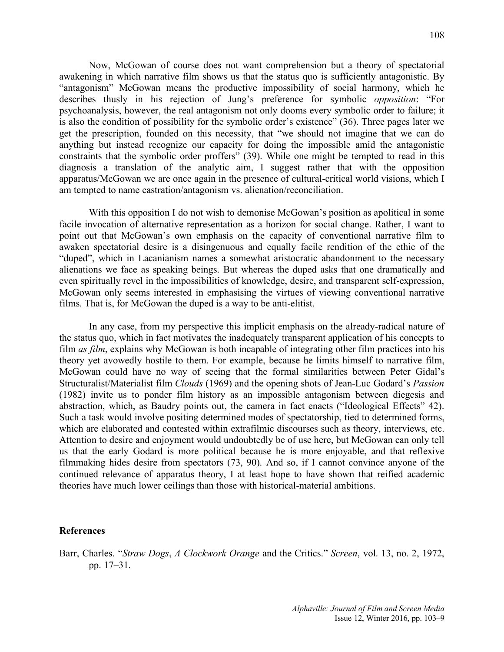Now, McGowan of course does not want comprehension but a theory of spectatorial awakening in which narrative film shows us that the status quo is sufficiently antagonistic. By "antagonism" McGowan means the productive impossibility of social harmony, which he describes thusly in his rejection of Jung's preference for symbolic *opposition*: "For psychoanalysis, however, the real antagonism not only dooms every symbolic order to failure; it is also the condition of possibility for the symbolic order's existence" (36). Three pages later we get the prescription, founded on this necessity, that "we should not imagine that we can do anything but instead recognize our capacity for doing the impossible amid the antagonistic constraints that the symbolic order proffers" (39). While one might be tempted to read in this diagnosis a translation of the analytic aim, I suggest rather that with the opposition apparatus/McGowan we are once again in the presence of cultural-critical world visions, which I am tempted to name castration/antagonism vs. alienation/reconciliation.

With this opposition I do not wish to demonise McGowan's position as apolitical in some facile invocation of alternative representation as a horizon for social change. Rather, I want to point out that McGowan's own emphasis on the capacity of conventional narrative film to awaken spectatorial desire is a disingenuous and equally facile rendition of the ethic of the "duped", which in Lacanianism names a somewhat aristocratic abandonment to the necessary alienations we face as speaking beings. But whereas the duped asks that one dramatically and even spiritually revel in the impossibilities of knowledge, desire, and transparent self-expression, McGowan only seems interested in emphasising the virtues of viewing conventional narrative films. That is, for McGowan the duped is a way to be anti-elitist.

In any case, from my perspective this implicit emphasis on the already-radical nature of the status quo, which in fact motivates the inadequately transparent application of his concepts to film *as film*, explains why McGowan is both incapable of integrating other film practices into his theory yet avowedly hostile to them. For example, because he limits himself to narrative film, McGowan could have no way of seeing that the formal similarities between Peter Gidal's Structuralist/Materialist film *Clouds* (1969) and the opening shots of Jean-Luc Godard's *Passion*  (1982) invite us to ponder film history as an impossible antagonism between diegesis and abstraction, which, as Baudry points out, the camera in fact enacts ("Ideological Effects" 42). Such a task would involve positing determined modes of spectatorship, tied to determined forms, which are elaborated and contested within extrafilmic discourses such as theory, interviews, etc. Attention to desire and enjoyment would undoubtedly be of use here, but McGowan can only tell us that the early Godard is more political because he is more enjoyable, and that reflexive filmmaking hides desire from spectators (73, 90). And so, if I cannot convince anyone of the continued relevance of apparatus theory, I at least hope to have shown that reified academic theories have much lower ceilings than those with historical-material ambitions.

## **References**

Barr, Charles. "*Straw Dogs*, *A Clockwork Orange* and the Critics." *Screen*, vol. 13, no. 2, 1972, pp. 17–31.